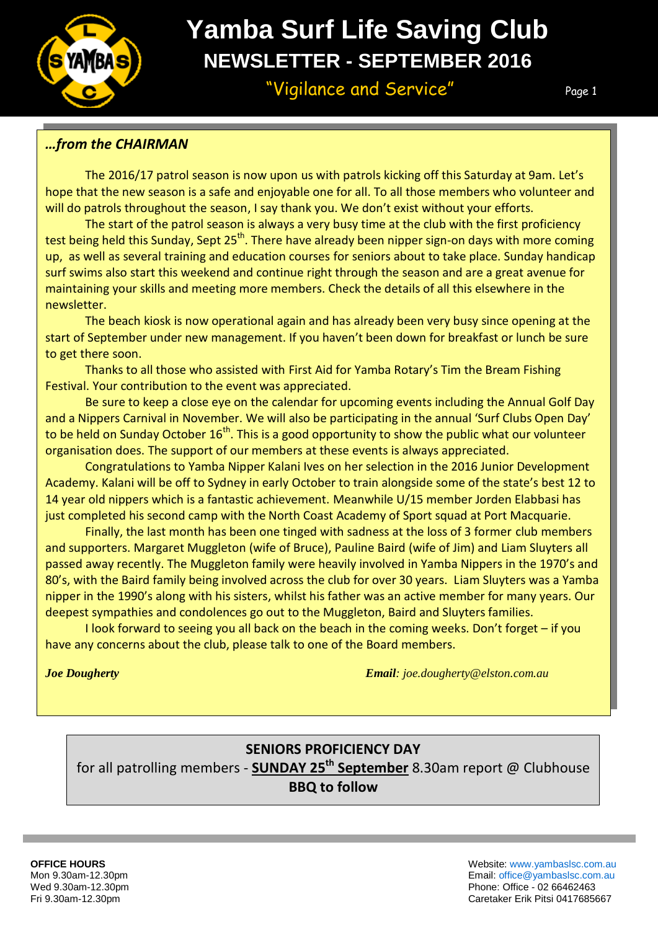

# **Yamba Surf Life Saving Club NEWSLETTER - SEPTEMBER 2016**

"Vigilance and Service" Page 1

Page 1

Page 1

# *…from the CHAIRMAN*

The 2016/17 patrol season is now upon us with patrols kicking off this Saturday at 9am. Let's hope that the new season is a safe and enjoyable one for all. To all those members who volunteer and will do patrols throughout the season, I say thank you. We don't exist without your efforts.

The start of the patrol season is always a very busy time at the club with the first proficiency test being held this Sunday, Sept 25<sup>th</sup>. There have already been nipper sign-on days with more coming up, as well as several training and education courses for seniors about to take place. Sunday handicap surf swims also start this weekend and continue right through the season and are a great avenue for maintaining your skills and meeting more members. Check the details of all this elsewhere in the newsletter.

The beach kiosk is now operational again and has already been very busy since opening at the start of September under new management. If you haven't been down for breakfast or lunch be sure to get there soon.

Thanks to all those who assisted with First Aid for Yamba Rotary's Tim the Bream Fishing Festival. Your contribution to the event was appreciated.

Be sure to keep a close eye on the calendar for upcoming events including the Annual Golf Day and a Nippers Carnival in November. We will also be participating in the annual 'Surf Clubs Open Day' to be held on Sunday October  $16<sup>th</sup>$ . This is a good opportunity to show the public what our volunteer organisation does. The support of our members at these events is always appreciated.

Congratulations to Yamba Nipper Kalani Ives on her selection in the 2016 Junior Development Academy. Kalani will be off to Sydney in early October to train alongside some of the state's best 12 to 14 year old nippers which is a fantastic achievement. Meanwhile U/15 member Jorden Elabbasi has just completed his second camp with the North Coast Academy of Sport squad at Port Macquarie.

Finally, the last month has been one tinged with sadness at the loss of 3 former club members and supporters. Margaret Muggleton (wife of Bruce), Pauline Baird (wife of Jim) and Liam Sluyters all passed away recently. The Muggleton family were heavily involved in Yamba Nippers in the 1970's and 80's, with the Baird family being involved across the club for over 30 years. Liam Sluyters was a Yamba nipper in the 1990's along with his sisters, whilst his father was an active member for many years. Our deepest sympathies and condolences go out to the Muggleton, Baird and Sluyters families.

I look forward to seeing you all back on the beach in the coming weeks. Don't forget – if you have any concerns about the club, please talk to one of the Board members.

*Joe Dougherty Email: joe.dougherty@elston.com.au*

# **SENIORS PROFICIENCY DAY**

for all patrolling members - **SUNDAY 25th September** 8.30am report @ Clubhouse **BBQ to follow**

**OFFICE HOURS** Website: [www.yambaslsc.com.au](http://www.yambaslsc.com.au/) Mon 9.30am-12.30pm Email: [office@yambaslsc.com.au](mailto:office@yambaslsc.com.au) Wed 9.30am-12.30pm Phone: Office - 02 66462463 Fri 9.30am-12.30pm Caretaker Erik Pitsi 0417685667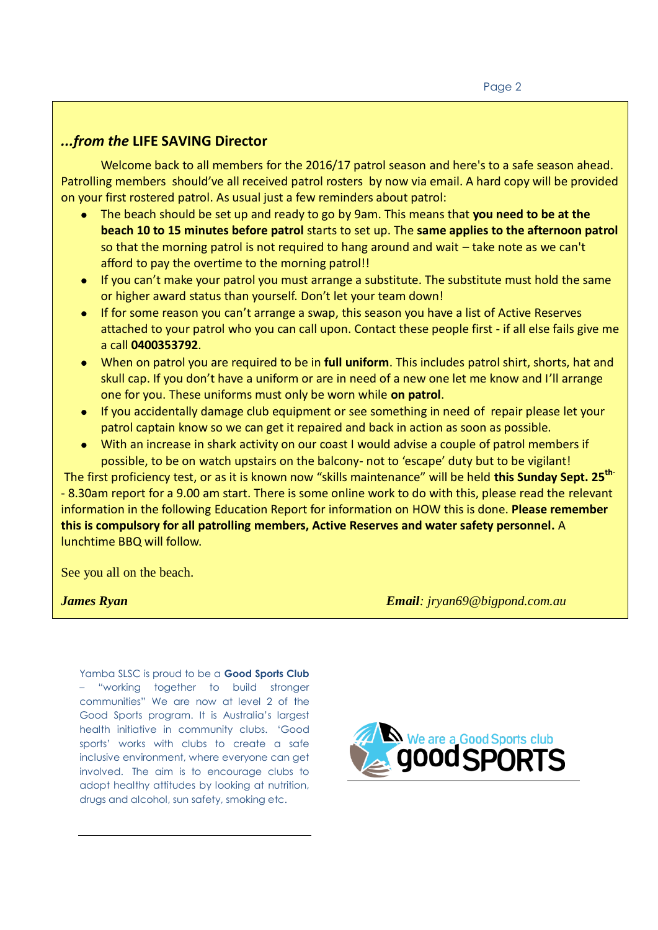# *...from the* **LIFE SAVING Director**

Patrolling members should've all received patrol rosters by now via email. A hard copy will be provided Welcome back to all members for the 2016/17 patrol season and here's to a safe season ahead. on your first rostered patrol. As usual just a few reminders about patrol:

- The beach should be set up and ready to go by 9am. This means that **you need to be at the beach 10 to 15 minutes before patrol** starts to set up. The **same applies to the afternoon patrol** so that the morning patrol is not required to hang around and wait – take note as we can't afford to pay the overtime to the morning patrol!!
- If you can't make your patrol you must arrange a substitute. The substitute must hold the same or higher award status than yourself. Don't let your team down!
- If for some reason you can't arrange a swap, this season you have a list of Active Reserves attached to your patrol who you can call upon. Contact these people first - if all else fails give me a call **0400353792**.
- When on patrol you are required to be in **full uniform**. This includes patrol shirt, shorts, hat and skull cap. If you don't have a uniform or are in need of a new one let me know and I'll arrange one for you. These uniforms must only be worn while **on patrol**.
- If you accidentally damage club equipment or see something in need of repair please let your patrol captain know so we can get it repaired and back in action as soon as possible.
- With an increase in shark activity on our coast I would advise a couple of patrol members if possible, to be on watch upstairs on the balcony- not to 'escape' duty but to be vigilant!

The first proficiency test, or as it is known now "skills maintenance" will be held **this Sunday Sept. 25th**- - 8.30am report for a 9.00 am start. There is some online work to do with this, please read the relevant information in the following Education Report for information on HOW this is done. **Please remember this is compulsory for all patrolling members, Active Reserves and water safety personnel.** A lunchtime BBQ will follow.

See you all on the beach.

*James Ryan Email: jryan69@bigpond.com.au*

Yamba SLSC is proud to be a **Good Sports Club**  – "working together to build stronger communities" We are now at level 2 of the Good Sports program. It is Australia's largest health initiative in community clubs. 'Good sports' works with clubs to create a safe inclusive environment, where everyone can get involved. The aim is to encourage clubs to adopt healthy attitudes by looking at nutrition, drugs and alcohol, sun safety, smoking etc.

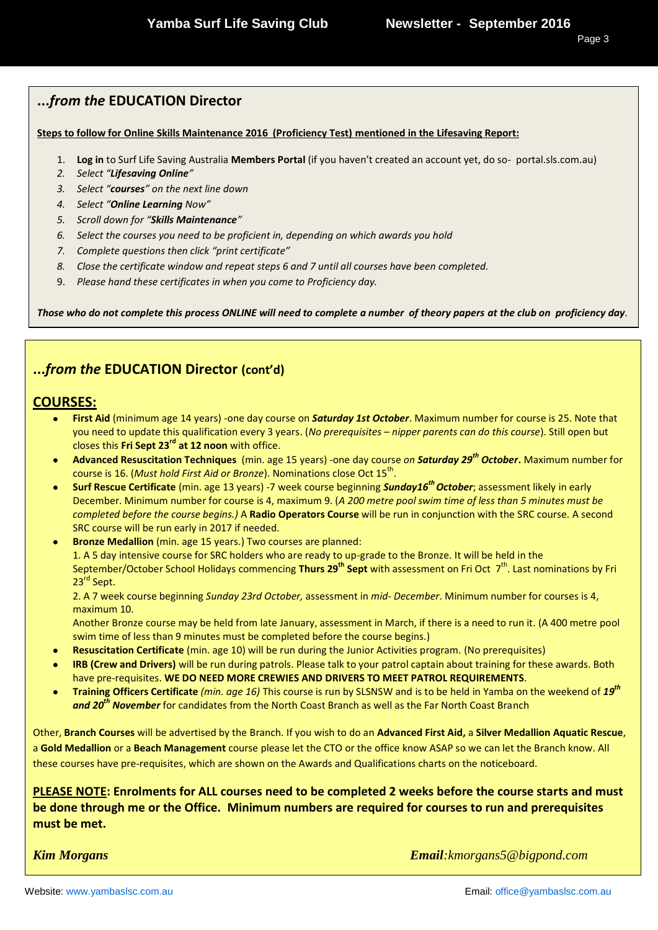# **...***from the* **EDUCATION Director**

#### **Steps to follow for Online Skills Maintenance 2016 (Proficiency Test) mentioned in the Lifesaving Report:**

- 1. **Log in** to Surf Life Saving Australia **Members Portal** (if you haven't created an account yet, do so- portal.sls.com.au)
- *2. Select "Lifesaving Online"*
- *3. Select "courses" on the next line down*
- *4. Select "Online Learning Now"*
- *5. Scroll down for "Skills Maintenance"*
- *6. Select the courses you need to be proficient in, depending on which awards you hold*
- *7. Complete questions then click "print certificate"*
- *8. Close the certificate window and repeat steps 6 and 7 until all courses have been completed.*
- 9. *Please hand these certificates in when you come to Proficiency day.*

*Those who do not complete this process ONLINE will need to complete a number of theory papers at the club on proficiency day.*

# **...***from the* **EDUCATION Director (cont'd)**

#### **COURSES:**

- **First Aid** (minimum age 14 years) -one day course on *Saturday 1st October*. Maximum number for course is 25. Note that you need to update this qualification every 3 years. (*No prerequisites – nipper parents can do this course*). Still open but closes this **Fri Sept 23rd at 12 noon** with office.
- **Advanced Resuscitation Techniques** (min. age 15 years) -one day course *on Saturday 29th October***.** Maximum number for course is 16. (*Must hold First Aid or Bronze*). Nominations close Oct 15<sup>th</sup>.
- **Surf Rescue Certificate** (min. age 13 years) -7 week course beginning *Sunday16th October*; assessment likely in early December. Minimum number for course is 4, maximum 9. (*A 200 metre pool swim time of less than 5 minutes must be completed before the course begins.)* A **Radio Operators Course** will be run in conjunction with the SRC course. A second SRC course will be run early in 2017 if needed.
- **Bronze Medallion** (min. age 15 years.) Two courses are planned: 1. A 5 day intensive course for SRC holders who are ready to up-grade to the Bronze. It will be held in the September/October School Holidays commencing **Thurs 29<sup>th</sup> Sept** with assessment on Fri Oct 7<sup>th</sup>. Last nominations by Fri 23<sup>rd</sup> Sept.

2. A 7 week course beginning *Sunday 23rd October,* assessment in *mid*- *December*. Minimum number for courses is 4, maximum 10.

Another Bronze course may be held from late January, assessment in March, if there is a need to run it. (A 400 metre pool swim time of less than 9 minutes must be completed before the course begins.)

- **Resuscitation Certificate** (min. age 10) will be run during the Junior Activities program. (No prerequisites)
- **IRB (Crew and Drivers)** will be run during patrols. Please talk to your patrol captain about training for these awards. Both have pre-requisites. **WE DO NEED MORE CREWIES AND DRIVERS TO MEET PATROL REQUIREMENTS**.
- **Training Officers Certificate** *(min. age 16)* This course is run by SLSNSW and is to be held in Yamba on the weekend of *19th*  $\bullet$ *and 20th November* for candidates from the North Coast Branch as well as the Far North Coast Branch

Other, **Branch Courses** will be advertised by the Branch. If you wish to do an **Advanced First Aid,** a **Silver Medallion Aquatic Rescue**, a **Gold Medallion** or a **Beach Management** course please let the CTO or the office know ASAP so we can let the Branch know. All these courses have pre-requisites, which are shown on the Awards and Qualifications charts on the noticeboard.

**PLEASE NOTE: Enrolments for ALL courses need to be completed 2 weeks before the course starts and must be done through me or the Office. Minimum numbers are required for courses to run and prerequisites must be met.**

*Kim Morgans Email:kmorgans5@bigpond.com*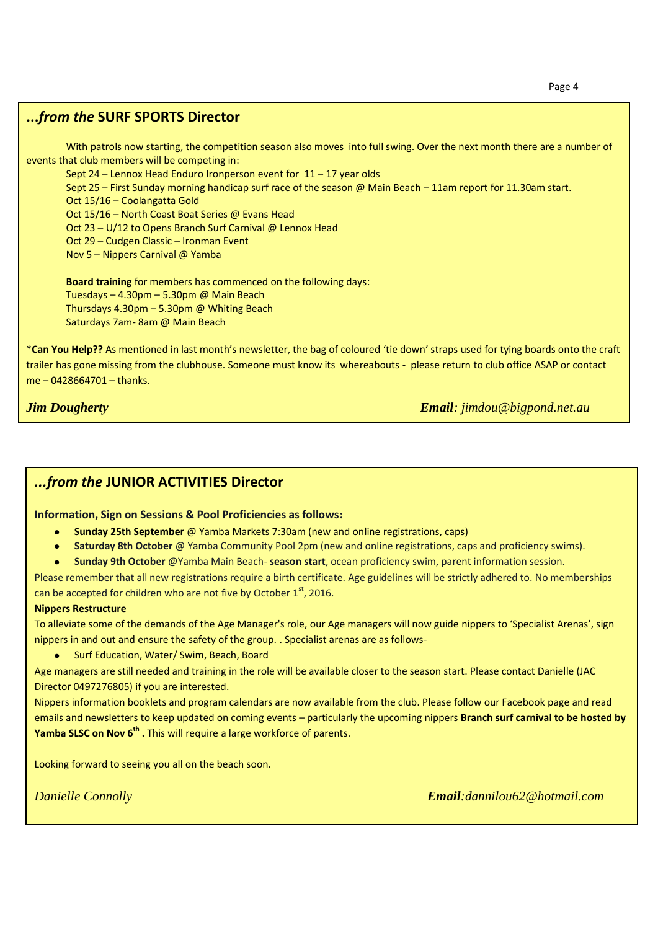# **...***from the* **SURF SPORTS Director**

With patrols now starting, the competition season also moves into full swing. Over the next month there are a number of events that club members will be competing in:

Sept 24 – Lennox Head Enduro Ironperson event for 11 – 17 year olds

Sept 25 – First Sunday morning handicap surf race of the season @ Main Beach – 11am report for 11.30am start. Oct 15/16 – Coolangatta Gold

Oct 15/16 – North Coast Boat Series @ Evans Head

Oct 23 – U/12 to Opens Branch Surf Carnival @ Lennox Head

Oct 29 – Cudgen Classic – Ironman Event

Nov 5 – Nippers Carnival @ Yamba

**Board training** for members has commenced on the following days: Tuesdays – 4.30pm – 5.30pm @ Main Beach Thursdays 4.30pm – 5.30pm @ Whiting Beach Saturdays 7am- 8am @ Main Beach

\***Can You Help??** As mentioned in last month's newsletter, the bag of coloured 'tie down' straps used for tying boards onto the craft trailer has gone missing from the clubhouse. Someone must know its whereabouts - please return to club office ASAP or contact me – 0428664701 – thanks.

*Jim Dougherty Email: jimdou@bigpond.net.au* 

# *...from the* **JUNIOR ACTIVITIES Director**

#### **Information, Sign on Sessions & Pool Proficiencies as follows:**

- **Sunday 25th September** @ Yamba Markets 7:30am (new and online registrations, caps)
- **Saturday 8th October** @ Yamba Community Pool 2pm (new and online registrations, caps and proficiency swims).
- **Sunday 9th October** @Yamba Main Beach- **season start**, ocean proficiency swim, parent information session.  $\bullet$

Please remember that all new registrations require a birth certificate. Age guidelines will be strictly adhered to. No memberships can be accepted for children who are not five by October  $1<sup>st</sup>$ , 2016.

#### **Nippers Restructure**

To alleviate some of the demands of the Age Manager's role, our Age managers will now guide nippers to 'Specialist Arenas', sign nippers in and out and ensure the safety of the group. . Specialist arenas are as follows-

Surf Education, Water/ Swim, Beach, Board

Age managers are still needed and training in the role will be available closer to the season start. Please contact Danielle (JAC Director 0497276805) if you are interested.

Nippers information booklets and program calendars are now available from the club. Please follow our Facebook page and read emails and newsletters to keep updated on coming events – particularly the upcoming nippers **Branch surf carnival to be hosted by Yamba SLSC on Nov 6th .** This will require a large workforce of parents.

Looking forward to seeing you all on the beach soon.

**Danielle Connolly** 

*Danielle Connolly Email:dannilou62@hotmail.com*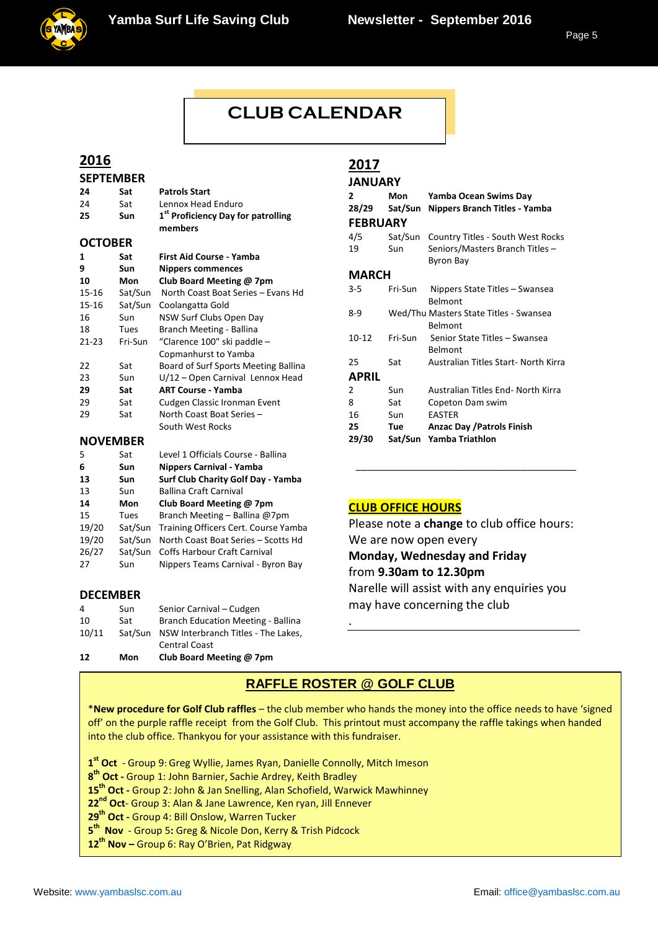

# **CLUB CALENDAR**

**CLUB CALENDARY CONTROL** 

# **2016**

| <b>SEPTEMBER</b> |            |                                                           |  |  |
|------------------|------------|-----------------------------------------------------------|--|--|
| 24               | Sat        | <b>Patrols Start</b>                                      |  |  |
| 24               | Sat        | Lennox Head Enduro                                        |  |  |
| 25               | <b>Sun</b> | 1 <sup>st</sup> Proficiency Day for patrolling<br>members |  |  |
| <b>OCTOBER</b>   |            |                                                           |  |  |
| 1                | Sat        | <b>First Aid Course - Yamba</b>                           |  |  |
| 9                | Sun        | <b>Nippers commences</b>                                  |  |  |
| 10               | Mon        | Club Board Meeting @ 7pm                                  |  |  |
| 15-16            | Sat/Sun    | North Coast Boat Series - Evans Hd                        |  |  |
| 15-16            | Sat/Sun    | Coolangatta Gold                                          |  |  |
| 16               | <b>Sun</b> | NSW Surf Clubs Open Day                                   |  |  |
| 18               | Tues       | Branch Meeting - Ballina                                  |  |  |
| $21 - 23$        | Fri-Sun    | "Clarence 100" ski paddle -                               |  |  |
|                  |            | Copmanhurst to Yamba                                      |  |  |
| 22               | Sat        | Board of Surf Sports Meeting Ballina                      |  |  |
| 23               | Sun        | U/12 - Open Carnival Lennox Head                          |  |  |
| 29               | Sat        | <b>ART Course - Yamba</b>                                 |  |  |
| 29               | Sat        | Cudgen Classic Ironman Event                              |  |  |
| 29               | Sat        | North Coast Boat Series -                                 |  |  |
|                  |            | South West Rocks                                          |  |  |
| <b>NOVEMBER</b>  |            |                                                           |  |  |
| Е.               | $c_{n+1}$  | Lough 1 Officials Course Pallina                          |  |  |

#### 5 Sat Level 1 Officials Course - Ballina **6 Sun Nippers Carnival - Yamba 13 Sun Surf Club Charity Golf Day - Yamba** 13 Sun Ballina Craft Carnival<br>14 Mon Club Board Meeting **14 Mon Club Board Meeting @ 7pm**<br>**15** Tues Branch Meeting - Ballina @7 Tues Branch Meeting – Ballina @7pm 19/20 Sat/Sun Training Officers Cert. Course Yamba 19/20 Sat/Sun North Coast Boat Series – Scotts Hd 26/27 Sat/Sun Coffs Harbour Craft Carnival

#### **DECEMBER**

| 12    | Mon     | Club Board Meeting @ 7pm            |
|-------|---------|-------------------------------------|
|       |         | <b>Central Coast</b>                |
| 10/11 | Sat/Sun | NSW Interbranch Titles - The Lakes, |
| 10    | Sat     | Branch Education Meeting - Ballina  |
| 4     | Sun     | Senior Carnival - Cudgen            |

27 Sun Nippers Teams Carnival - Byron Bay

# **2017**

| <b>JANUARY</b>  |         |                                                   |  |  |
|-----------------|---------|---------------------------------------------------|--|--|
| $2^{\circ}$     | Mon     | Yamba Ocean Swims Day                             |  |  |
| 28/29           | Sat/Sun | Nippers Branch Titles - Yamba                     |  |  |
| <b>FEBRUARY</b> |         |                                                   |  |  |
| 4/5             |         | Sat/Sun Country Titles - South West Rocks         |  |  |
| 19              | Sun     | Seniors/Masters Branch Titles -<br>Byron Bay      |  |  |
| MARCH           |         |                                                   |  |  |
| 3-5             | Fri-Sun | Nippers State Titles – Swansea<br><b>Belmont</b>  |  |  |
| 8-9             |         | Wed/Thu Masters State Titles - Swansea<br>Belmont |  |  |
| $10 - 12$       | Fri-Sun | Senior State Titles - Swansea<br><b>Belmont</b>   |  |  |
| 25              | Sat     | Australian Titles Start- North Kirra              |  |  |
| <b>APRIL</b>    |         |                                                   |  |  |
| 2               | Sun     | Australian Titles End- North Kirra                |  |  |
| 8               | Sat     | Copeton Dam swim                                  |  |  |
| 16              | Sun     | <b>EASTER</b>                                     |  |  |
| 25              | Tue     | <b>Anzac Day / Patrols Finish</b>                 |  |  |
| 29/30           |         | Sat/Sun Yamba Triathlon                           |  |  |

# **CLUB OFFICE HOURS**

Please note a **change** to club office hours: We are now open every **Monday, Wednesday and Friday**  from **9.30am to 12.30pm** Narelle will assist with any enquiries you may have concerning the club

\_\_\_\_\_\_\_\_\_\_\_\_\_\_\_\_\_\_\_\_\_\_\_\_\_\_\_\_\_\_\_\_\_\_\_\_\_\_\_\_

# **RAFFLE ROSTER @ GOLF CLUB**

.

\***New procedure for Golf Club raffles** – the club member who hands the money into the office needs to have 'signed off' on the purple raffle receipt from the Golf Club. This printout must accompany the raffle takings when handed into the club office. Thankyou for your assistance with this fundraiser.

**1 st Oct** - Group 9: Greg Wyllie, James Ryan, Danielle Connolly, Mitch Imeson

**8 th Oct -** Group 1: John Barnier, Sachie Ardrey, Keith Bradley

**15th Oct -** Group 2: John & Jan Snelling, Alan Schofield, Warwick Mawhinney

**22nd Oct**- Group 3: Alan & Jane Lawrence, Ken ryan, Jill Ennever

**29th Oct -** Group 4: Bill Onslow, Warren Tucker

**5 th Nov** - Group 5**:** Greg & Nicole Don, Kerry & Trish Pidcock

**12th Nov –** Group 6: Ray O'Brien, Pat Ridgway